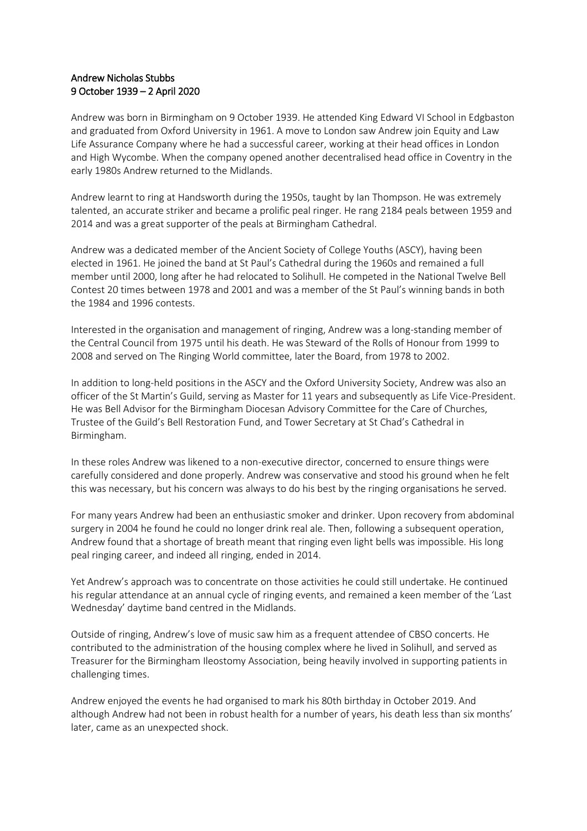## Andrew Nicholas Stubbs 9 October 1939 – 2 April 2020

Andrew was born in Birmingham on 9 October 1939. He attended King Edward VI School in Edgbaston and graduated from Oxford University in 1961. A move to London saw Andrew join Equity and Law Life Assurance Company where he had a successful career, working at their head offices in London and High Wycombe. When the company opened another decentralised head office in Coventry in the early 1980s Andrew returned to the Midlands.

Andrew learnt to ring at Handsworth during the 1950s, taught by Ian Thompson. He was extremely talented, an accurate striker and became a prolific peal ringer. He rang 2184 peals between 1959 and 2014 and was a great supporter of the peals at Birmingham Cathedral.

Andrew was a dedicated member of the Ancient Society of College Youths (ASCY), having been elected in 1961. He joined the band at St Paul's Cathedral during the 1960s and remained a full member until 2000, long after he had relocated to Solihull. He competed in the National Twelve Bell Contest 20 times between 1978 and 2001 and was a member of the St Paul's winning bands in both the 1984 and 1996 contests.

Interested in the organisation and management of ringing, Andrew was a long-standing member of the Central Council from 1975 until his death. He was Steward of the Rolls of Honour from 1999 to 2008 and served on The Ringing World committee, later the Board, from 1978 to 2002.

In addition to long-held positions in the ASCY and the Oxford University Society, Andrew was also an officer of the St Martin's Guild, serving as Master for 11 years and subsequently as Life Vice-President. He was Bell Advisor for the Birmingham Diocesan Advisory Committee for the Care of Churches, Trustee of the Guild's Bell Restoration Fund, and Tower Secretary at St Chad's Cathedral in Birmingham.

In these roles Andrew was likened to a non-executive director, concerned to ensure things were carefully considered and done properly. Andrew was conservative and stood his ground when he felt this was necessary, but his concern was always to do his best by the ringing organisations he served.

For many years Andrew had been an enthusiastic smoker and drinker. Upon recovery from abdominal surgery in 2004 he found he could no longer drink real ale. Then, following a subsequent operation, Andrew found that a shortage of breath meant that ringing even light bells was impossible. His long peal ringing career, and indeed all ringing, ended in 2014.

Yet Andrew's approach was to concentrate on those activities he could still undertake. He continued his regular attendance at an annual cycle of ringing events, and remained a keen member of the 'Last Wednesday' daytime band centred in the Midlands.

Outside of ringing, Andrew's love of music saw him as a frequent attendee of CBSO concerts. He contributed to the administration of the housing complex where he lived in Solihull, and served as Treasurer for the Birmingham Ileostomy Association, being heavily involved in supporting patients in challenging times.

Andrew enjoyed the events he had organised to mark his 80th birthday in October 2019. And although Andrew had not been in robust health for a number of years, his death less than six months' later, came as an unexpected shock.